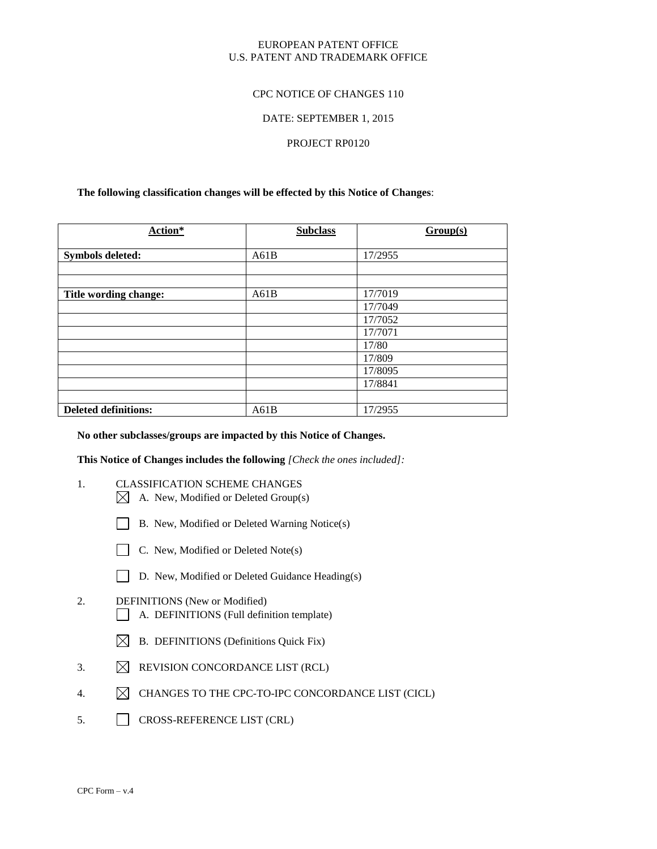## EUROPEAN PATENT OFFICE U.S. PATENT AND TRADEMARK OFFICE

## CPC NOTICE OF CHANGES 110

## DATE: SEPTEMBER 1, 2015

## PROJECT RP0120

## **The following classification changes will be effected by this Notice of Changes**:

| Action*                     | <b>Subclass</b> | Group(s) |
|-----------------------------|-----------------|----------|
| <b>Symbols deleted:</b>     | A61B            | 17/2955  |
|                             |                 |          |
|                             |                 |          |
| Title wording change:       | A61B            | 17/7019  |
|                             |                 | 17/7049  |
|                             |                 | 17/7052  |
|                             |                 | 17/7071  |
|                             |                 | 17/80    |
|                             |                 | 17/809   |
|                             |                 | 17/8095  |
|                             |                 | 17/8841  |
|                             |                 |          |
| <b>Deleted definitions:</b> | A61B            | 17/2955  |

### **No other subclasses/groups are impacted by this Notice of Changes.**

**This Notice of Changes includes the following** *[Check the ones included]:*

- 1. CLASSIFICATION SCHEME CHANGES
	- $\boxtimes$  A. New, Modified or Deleted Group(s)
	- B. New, Modified or Deleted Warning Notice(s)
	- C. New, Modified or Deleted Note(s)
	- D. New, Modified or Deleted Guidance Heading(s)
- 2. DEFINITIONS (New or Modified) A. DEFINITIONS (Full definition template)
	- $\boxtimes$  B. DEFINITIONS (Definitions Quick Fix)
- 3.  $\boxtimes$  REVISION CONCORDANCE LIST (RCL)
- 4.  $\boxtimes$  CHANGES TO THE CPC-TO-IPC CONCORDANCE LIST (CICL)
- 5. CROSS-REFERENCE LIST (CRL)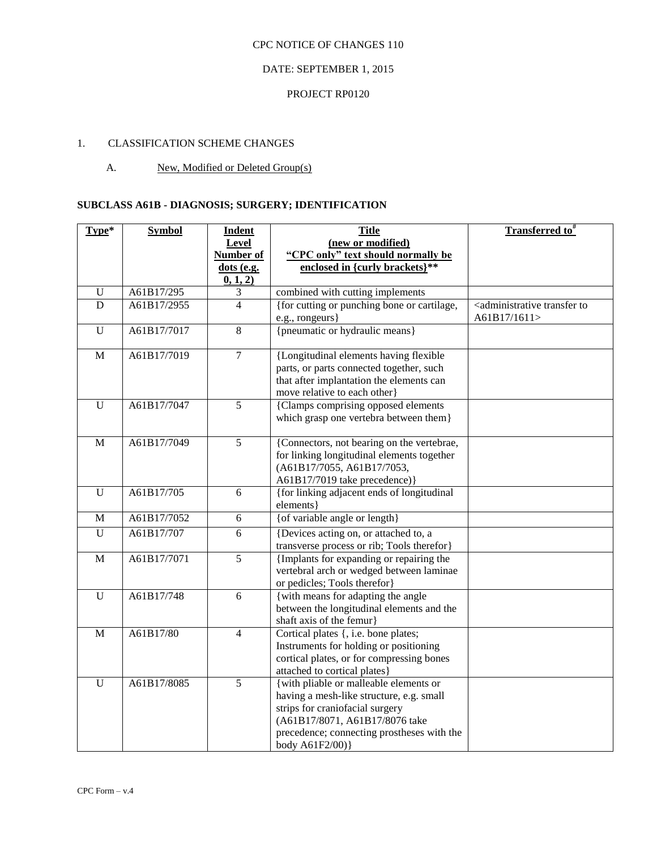# DATE: SEPTEMBER 1, 2015

# PROJECT RP0120

# 1. CLASSIFICATION SCHEME CHANGES

# A. New, Modified or Deleted Group(s)

# **SUBCLASS A61B - DIAGNOSIS; SURGERY; IDENTIFICATION**

| Type*          | <b>Symbol</b> | <b>Indent</b>  | <b>Title</b>                                                           | <b>Transferred to</b> #                                               |
|----------------|---------------|----------------|------------------------------------------------------------------------|-----------------------------------------------------------------------|
|                |               | <b>Level</b>   | (new or modified)                                                      |                                                                       |
|                |               | Number of      | "CPC only" text should normally be                                     |                                                                       |
|                |               | dots (e.g.     | enclosed in {curly brackets}**                                         |                                                                       |
|                |               | 0, 1, 2)       |                                                                        |                                                                       |
| $\mathbf U$    | A61B17/295    | 3              | combined with cutting implements                                       |                                                                       |
| D              | A61B17/2955   | $\overline{4}$ | {for cutting or punching bone or cartilage,<br>e.g., rongeurs}         | <administrative to<br="" transfer="">A61B17/1611&gt;</administrative> |
| $\mathbf U$    | A61B17/7017   | 8              | {pneumatic or hydraulic means}                                         |                                                                       |
|                |               |                |                                                                        |                                                                       |
| $\overline{M}$ | A61B17/7019   | $\overline{7}$ | {Longitudinal elements having flexible                                 |                                                                       |
|                |               |                | parts, or parts connected together, such                               |                                                                       |
|                |               |                | that after implantation the elements can                               |                                                                       |
|                |               |                | move relative to each other)                                           |                                                                       |
| $\overline{U}$ | A61B17/7047   | $\overline{5}$ | {Clamps comprising opposed elements                                    |                                                                       |
|                |               |                | which grasp one vertebra between them}                                 |                                                                       |
| M              | A61B17/7049   | 5              | {Connectors, not bearing on the vertebrae,                             |                                                                       |
|                |               |                | for linking longitudinal elements together                             |                                                                       |
|                |               |                | (A61B17/7055, A61B17/7053,                                             |                                                                       |
|                |               |                | A61B17/7019 take precedence)}                                          |                                                                       |
| U              | A61B17/705    | 6              | {for linking adjacent ends of longitudinal<br>elements}                |                                                                       |
| M              | A61B17/7052   | $6\,$          | {of variable angle or length}                                          |                                                                       |
| U              | A61B17/707    | 6              | {Devices acting on, or attached to, a                                  |                                                                       |
|                |               |                | transverse process or rib; Tools therefor}                             |                                                                       |
| M              | A61B17/7071   | $\overline{5}$ | {Implants for expanding or repairing the                               |                                                                       |
|                |               |                | vertebral arch or wedged between laminae                               |                                                                       |
|                |               |                | or pedicles; Tools therefor}                                           |                                                                       |
| $\overline{U}$ | A61B17/748    | $\overline{6}$ | {with means for adapting the angle                                     |                                                                       |
|                |               |                | between the longitudinal elements and the                              |                                                                       |
|                |               |                | shaft axis of the femur}                                               |                                                                       |
| M              | A61B17/80     | $\overline{4}$ | Cortical plates {, i.e. bone plates;                                   |                                                                       |
|                |               |                | Instruments for holding or positioning                                 |                                                                       |
|                |               |                | cortical plates, or for compressing bones                              |                                                                       |
| $\mathbf U$    | A61B17/8085   | 5              | attached to cortical plates}<br>{with pliable or malleable elements or |                                                                       |
|                |               |                | having a mesh-like structure, e.g. small                               |                                                                       |
|                |               |                | strips for craniofacial surgery                                        |                                                                       |
|                |               |                | (A61B17/8071, A61B17/8076 take                                         |                                                                       |
|                |               |                | precedence; connecting prostheses with the                             |                                                                       |
|                |               |                | body A61F2/00)}                                                        |                                                                       |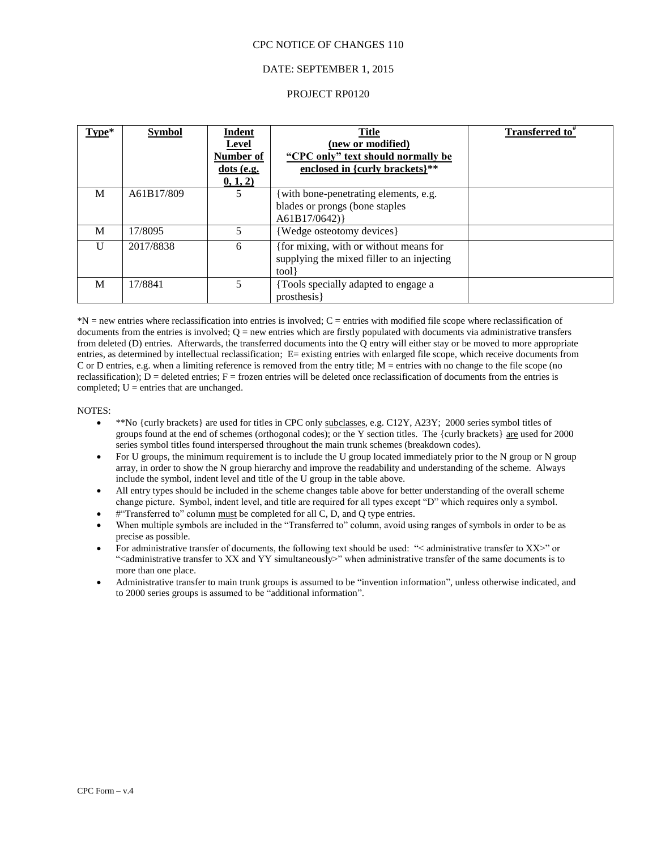## DATE: SEPTEMBER 1, 2015

## PROJECT RP0120

| Type*        | <b>Symbol</b> | <b>Indent</b><br><b>Level</b><br>Number of<br>$dots$ (e.g.<br>0, 1, 2) | <b>Title</b><br>(new or modified)<br>"CPC only" text should normally be<br>enclosed in {curly brackets}** | <b>Transferred to</b> <sup>#</sup> |
|--------------|---------------|------------------------------------------------------------------------|-----------------------------------------------------------------------------------------------------------|------------------------------------|
| M            | A61B17/809    | 5                                                                      | with bone-penetrating elements, e.g.<br>blades or prongs (bone staples<br>A61B17/0642)                    |                                    |
| M            | 17/8095       | 5                                                                      | {Wedge osteotomy devices}                                                                                 |                                    |
| $\mathbf{U}$ | 2017/8838     | 6                                                                      | {for mixing, with or without means for<br>supplying the mixed filler to an injecting<br>tool }            |                                    |
| M            | 17/8841       | 5                                                                      | {Tools specially adapted to engage a<br>prosthesis                                                        |                                    |

 $N =$  new entries where reclassification into entries is involved;  $C =$  entries with modified file scope where reclassification of documents from the entries is involved;  $Q =$  new entries which are firstly populated with documents via administrative transfers from deleted (D) entries. Afterwards, the transferred documents into the Q entry will either stay or be moved to more appropriate entries, as determined by intellectual reclassification; E= existing entries with enlarged file scope, which receive documents from C or D entries, e.g. when a limiting reference is removed from the entry title; M = entries with no change to the file scope (no reclassification);  $D =$  deleted entries;  $F =$  frozen entries will be deleted once reclassification of documents from the entries is completed;  $U =$  entries that are unchanged.

#### NOTES:

- \*\*No {curly brackets} are used for titles in CPC only subclasses, e.g. C12Y, A23Y; 2000 series symbol titles of groups found at the end of schemes (orthogonal codes); or the Y section titles. The {curly brackets} are used for 2000 series symbol titles found interspersed throughout the main trunk schemes (breakdown codes).
- For U groups, the minimum requirement is to include the U group located immediately prior to the N group or N group array, in order to show the N group hierarchy and improve the readability and understanding of the scheme. Always include the symbol, indent level and title of the U group in the table above.
- All entry types should be included in the scheme changes table above for better understanding of the overall scheme change picture. Symbol, indent level, and title are required for all types except "D" which requires only a symbol.
- #"Transferred to" column must be completed for all C, D, and Q type entries.
- When multiple symbols are included in the "Transferred to" column, avoid using ranges of symbols in order to be as precise as possible.
- For administrative transfer of documents, the following text should be used: "< administrative transfer to XX>" or "<administrative transfer to XX and YY simultaneously>" when administrative transfer of the same documents is to more than one place.
- Administrative transfer to main trunk groups is assumed to be "invention information", unless otherwise indicated, and to 2000 series groups is assumed to be "additional information".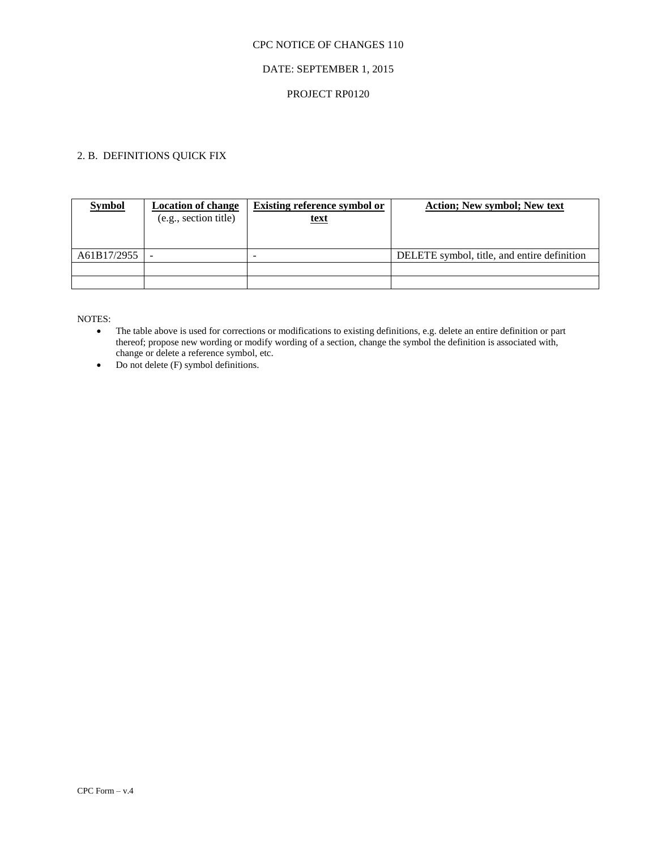# DATE: SEPTEMBER 1, 2015

## PROJECT RP0120

# 2. B. DEFINITIONS QUICK FIX

| <b>Symbol</b> | <b>Location of change</b><br>(e.g., section title) | <b>Existing reference symbol or</b><br><u>text</u> | <b>Action</b> ; New symbol; New text        |
|---------------|----------------------------------------------------|----------------------------------------------------|---------------------------------------------|
| A61B17/2955   |                                                    |                                                    | DELETE symbol, title, and entire definition |
|               |                                                    |                                                    |                                             |
|               |                                                    |                                                    |                                             |

NOTES:

 The table above is used for corrections or modifications to existing definitions, e.g. delete an entire definition or part thereof; propose new wording or modify wording of a section, change the symbol the definition is associated with, change or delete a reference symbol, etc.

• Do not delete (F) symbol definitions.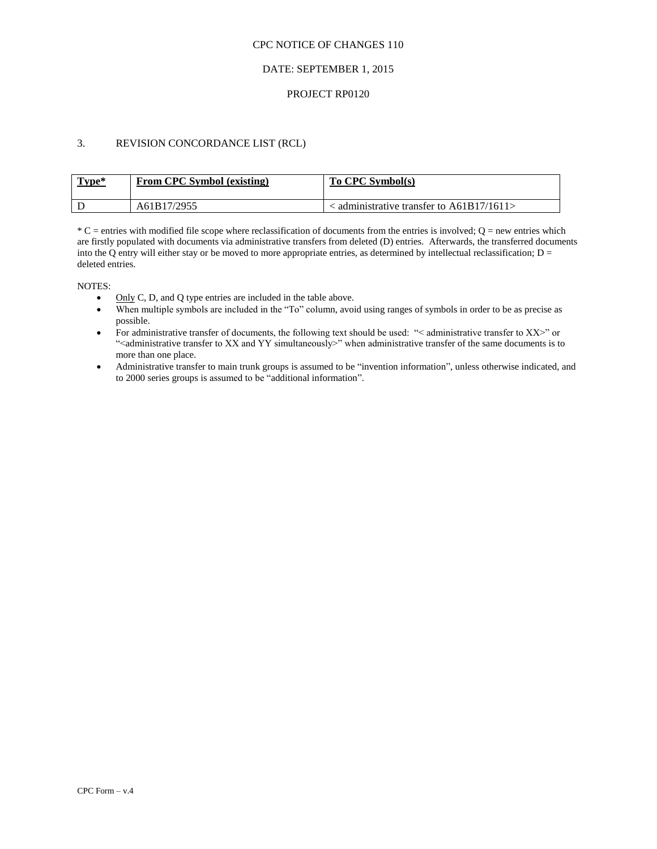## DATE: SEPTEMBER 1, 2015

### PROJECT RP0120

# 3. REVISION CONCORDANCE LIST (RCL)

| Type* | <b>From CPC Symbol (existing)</b> | To CPC Symbol(s)                                 |
|-------|-----------------------------------|--------------------------------------------------|
|       | A61B17/2955                       | $\alpha$ administrative transfer to A61B17/1611> |

 $*C$  = entries with modified file scope where reclassification of documents from the entries is involved;  $Q$  = new entries which are firstly populated with documents via administrative transfers from deleted (D) entries. Afterwards, the transferred documents into the Q entry will either stay or be moved to more appropriate entries, as determined by intellectual reclassification;  $D =$ deleted entries.

NOTES:

- $\bullet$  Only C, D, and Q type entries are included in the table above.
- When multiple symbols are included in the "To" column, avoid using ranges of symbols in order to be as precise as possible.
- For administrative transfer of documents, the following text should be used: "< administrative transfer to XX>" or "<administrative transfer to XX and YY simultaneously>" when administrative transfer of the same documents is to more than one place.
- Administrative transfer to main trunk groups is assumed to be "invention information", unless otherwise indicated, and to 2000 series groups is assumed to be "additional information".